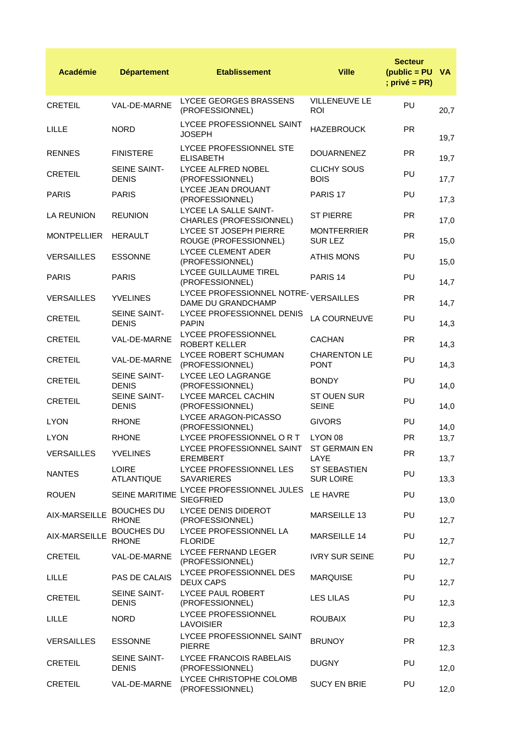| <b>Académie</b>    | <b>Département</b>                  | <b>Etablissement</b>                             | <b>Ville</b>                            | <b>Secteur</b><br>$(pubic = PU$ VA<br>; $privé = PR$ ) |      |
|--------------------|-------------------------------------|--------------------------------------------------|-----------------------------------------|--------------------------------------------------------|------|
| <b>CRETEIL</b>     | VAL-DE-MARNE                        | LYCEE GEORGES BRASSENS<br>(PROFESSIONNEL)        | VILLENEUVE LE<br><b>ROI</b>             | PU                                                     | 20,7 |
| <b>LILLE</b>       | <b>NORD</b>                         | LYCEE PROFESSIONNEL SAINT<br><b>JOSEPH</b>       | <b>HAZEBROUCK</b>                       | <b>PR</b>                                              | 19,7 |
| <b>RENNES</b>      | <b>FINISTERE</b>                    | LYCEE PROFESSIONNEL STE<br><b>ELISABETH</b>      | <b>DOUARNENEZ</b>                       | <b>PR</b>                                              | 19,7 |
| <b>CRETEIL</b>     | <b>SEINE SAINT-</b><br><b>DENIS</b> | LYCEE ALFRED NOBEL<br>(PROFESSIONNEL)            | <b>CLICHY SOUS</b><br><b>BOIS</b>       | PU                                                     | 17,7 |
| <b>PARIS</b>       | <b>PARIS</b>                        | LYCEE JEAN DROUANT<br>(PROFESSIONNEL)            | PARIS <sub>17</sub>                     | PU                                                     | 17,3 |
| LA REUNION         | <b>REUNION</b>                      | LYCEE LA SALLE SAINT-<br>CHARLES (PROFESSIONNEL) | <b>ST PIERRE</b>                        | <b>PR</b>                                              | 17,0 |
| <b>MONTPELLIER</b> | <b>HERAULT</b>                      | LYCEE ST JOSEPH PIERRE<br>ROUGE (PROFESSIONNEL)  | <b>MONTFERRIER</b><br>SUR LEZ           | <b>PR</b>                                              | 15,0 |
| <b>VERSAILLES</b>  | <b>ESSONNE</b>                      | <b>LYCEE CLEMENT ADER</b><br>(PROFESSIONNEL)     | <b>ATHIS MONS</b>                       | PU                                                     | 15,0 |
| <b>PARIS</b>       | <b>PARIS</b>                        | <b>LYCEE GUILLAUME TIREL</b><br>(PROFESSIONNEL)  | PARIS <sub>14</sub>                     | PU                                                     | 14,7 |
| <b>VERSAILLES</b>  | <b>YVELINES</b>                     | LYCEE PROFESSIONNEL NOTRE-<br>DAME DU GRANDCHAMP | <b>VERSAILLES</b>                       | <b>PR</b>                                              | 14,7 |
| <b>CRETEIL</b>     | SEINE SAINT-<br><b>DENIS</b>        | LYCEE PROFESSIONNEL DENIS<br><b>PAPIN</b>        | LA COURNEUVE                            | PU                                                     | 14,3 |
| <b>CRETEIL</b>     | VAL-DE-MARNE                        | LYCEE PROFESSIONNEL<br><b>ROBERT KELLER</b>      | <b>CACHAN</b>                           | <b>PR</b>                                              | 14,3 |
| <b>CRETEIL</b>     | VAL-DE-MARNE                        | LYCEE ROBERT SCHUMAN<br>(PROFESSIONNEL)          | <b>CHARENTON LE</b><br><b>PONT</b>      | PU                                                     | 14,3 |
| <b>CRETEIL</b>     | SEINE SAINT-<br><b>DENIS</b>        | LYCEE LEO LAGRANGE<br>(PROFESSIONNEL)            | <b>BONDY</b>                            | PU                                                     | 14,0 |
| <b>CRETEIL</b>     | SEINE SAINT-<br><b>DENIS</b>        | LYCEE MARCEL CACHIN<br>(PROFESSIONNEL)           | ST OUEN SUR<br><b>SEINE</b>             | PU                                                     | 14,0 |
| <b>LYON</b>        | <b>RHONE</b>                        | LYCEE ARAGON-PICASSO<br>(PROFESSIONNEL)          | <b>GIVORS</b>                           | PU                                                     | 14,0 |
| <b>LYON</b>        | <b>RHONE</b>                        | LYCEE PROFESSIONNEL OR T                         | LYON 08                                 | <b>PR</b>                                              | 13,7 |
| <b>VERSAILLES</b>  | <b>YVELINES</b>                     | LYCEE PROFESSIONNEL SAINT<br>EREMBERT            | ST GERMAIN EN<br>LAYE                   | <b>PR</b>                                              | 13,7 |
| <b>NANTES</b>      | <b>LOIRE</b><br><b>ATLANTIQUE</b>   | LYCEE PROFESSIONNEL LES<br><b>SAVARIERES</b>     | <b>ST SEBASTIEN</b><br><b>SUR LOIRE</b> | PU                                                     | 13,3 |
| <b>ROUEN</b>       | SEINE MARITIME                      | LYCEE PROFESSIONNEL JULES<br><b>SIEGFRIED</b>    | LE HAVRE                                | PU                                                     | 13,0 |
| AIX-MARSEILLE      | <b>BOUCHES DU</b><br><b>RHONE</b>   | LYCEE DENIS DIDEROT<br>(PROFESSIONNEL)           | MARSEILLE 13                            | PU                                                     | 12,7 |
| AIX-MARSEILLE      | <b>BOUCHES DU</b><br><b>RHONE</b>   | LYCEE PROFESSIONNEL LA<br><b>FLORIDE</b>         | MARSEILLE 14                            | PU                                                     | 12,7 |
| <b>CRETEIL</b>     | VAL-DE-MARNE                        | LYCEE FERNAND LEGER<br>(PROFESSIONNEL)           | <b>IVRY SUR SEINE</b>                   | PU                                                     | 12,7 |
| <b>LILLE</b>       | PAS DE CALAIS                       | LYCEE PROFESSIONNEL DES<br><b>DEUX CAPS</b>      | <b>MARQUISE</b>                         | PU                                                     | 12,7 |
| <b>CRETEIL</b>     | SEINE SAINT-<br><b>DENIS</b>        | LYCEE PAUL ROBERT<br>(PROFESSIONNEL)             | <b>LES LILAS</b>                        | PU                                                     | 12,3 |
| <b>LILLE</b>       | <b>NORD</b>                         | LYCEE PROFESSIONNEL<br><b>LAVOISIER</b>          | <b>ROUBAIX</b>                          | PU                                                     | 12,3 |
| <b>VERSAILLES</b>  | <b>ESSONNE</b>                      | LYCEE PROFESSIONNEL SAINT<br><b>PIERRE</b>       | <b>BRUNOY</b>                           | <b>PR</b>                                              | 12,3 |
| <b>CRETEIL</b>     | SEINE SAINT-<br><b>DENIS</b>        | LYCEE FRANCOIS RABELAIS<br>(PROFESSIONNEL)       | <b>DUGNY</b>                            | PU                                                     | 12,0 |
| <b>CRETEIL</b>     | VAL-DE-MARNE                        | LYCEE CHRISTOPHE COLOMB<br>(PROFESSIONNEL)       | <b>SUCY EN BRIE</b>                     | PU                                                     | 12,0 |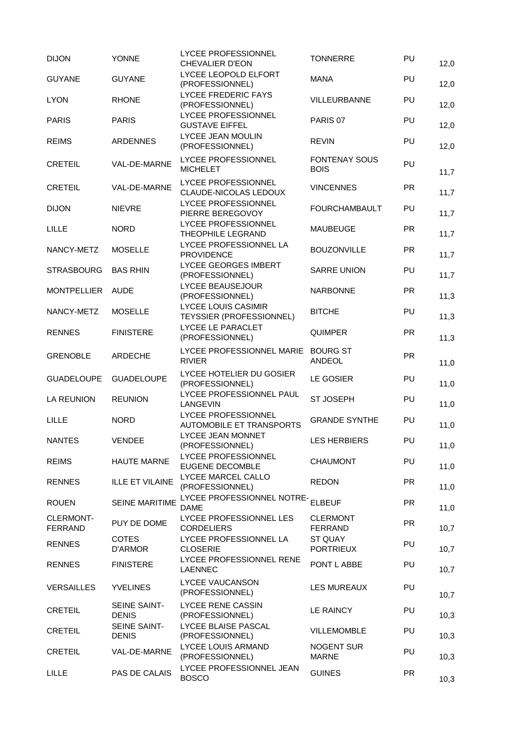| <b>DIJON</b>                       | <b>YONNE</b>                 | LYCEE PROFESSIONNEL<br><b>CHEVALIER D'EON</b>          | <b>TONNERRE</b>                     | PU        | 12,0 |
|------------------------------------|------------------------------|--------------------------------------------------------|-------------------------------------|-----------|------|
| <b>GUYANE</b>                      | <b>GUYANE</b>                | LYCEE LEOPOLD ELFORT<br>(PROFESSIONNEL)                | <b>MANA</b>                         | PU        | 12,0 |
| <b>LYON</b>                        | <b>RHONE</b>                 | <b>LYCEE FREDERIC FAYS</b><br>(PROFESSIONNEL)          | VILLEURBANNE                        | PU        | 12,0 |
| <b>PARIS</b>                       | <b>PARIS</b>                 | LYCEE PROFESSIONNEL<br><b>GUSTAVE EIFFEL</b>           | PARIS 07                            | PU        | 12,0 |
| <b>REIMS</b>                       | <b>ARDENNES</b>              | LYCEE JEAN MOULIN<br>(PROFESSIONNEL)                   | <b>REVIN</b>                        | PU        | 12,0 |
| <b>CRETEIL</b>                     | VAL-DE-MARNE                 | LYCEE PROFESSIONNEL<br><b>MICHELET</b>                 | <b>FONTENAY SOUS</b><br><b>BOIS</b> | PU        | 11,7 |
| <b>CRETEIL</b>                     | VAL-DE-MARNE                 | <b>LYCEE PROFESSIONNEL</b><br>CLAUDE-NICOLAS LEDOUX    | <b>VINCENNES</b>                    | <b>PR</b> | 11,7 |
| <b>DIJON</b>                       | <b>NIEVRE</b>                | LYCEE PROFESSIONNEL<br>PIERRE BEREGOVOY                | <b>FOURCHAMBAULT</b>                | PU        | 11,7 |
| <b>LILLE</b>                       | <b>NORD</b>                  | LYCEE PROFESSIONNEL<br>THEOPHILE LEGRAND               | MAUBEUGE                            | <b>PR</b> | 11,7 |
| NANCY-METZ                         | <b>MOSELLE</b>               | LYCEE PROFESSIONNEL LA<br><b>PROVIDENCE</b>            | <b>BOUZONVILLE</b>                  | <b>PR</b> | 11,7 |
| <b>STRASBOURG</b>                  | <b>BAS RHIN</b>              | <b>LYCEE GEORGES IMBERT</b><br>(PROFESSIONNEL)         | <b>SARRE UNION</b>                  | PU        | 11,7 |
| <b>MONTPELLIER</b>                 | <b>AUDE</b>                  | LYCEE BEAUSEJOUR<br>(PROFESSIONNEL)                    | <b>NARBONNE</b>                     | <b>PR</b> | 11,3 |
| NANCY-METZ                         | <b>MOSELLE</b>               | <b>LYCEE LOUIS CASIMIR</b><br>TEYSSIER (PROFESSIONNEL) | <b>BITCHE</b>                       | PU        | 11,3 |
| <b>RENNES</b>                      | <b>FINISTERE</b>             | LYCEE LE PARACLET<br>(PROFESSIONNEL)                   | <b>QUIMPER</b>                      | <b>PR</b> | 11,3 |
| <b>GRENOBLE</b>                    | <b>ARDECHE</b>               | LYCEE PROFESSIONNEL MARIE<br><b>RIVIER</b>             | <b>BOURG ST</b><br><b>ANDEOL</b>    | <b>PR</b> | 11,0 |
| <b>GUADELOUPE</b>                  | <b>GUADELOUPE</b>            | LYCEE HOTELIER DU GOSIER<br>(PROFESSIONNEL)            | LE GOSIER                           | PU        | 11,0 |
| <b>LA REUNION</b>                  | <b>REUNION</b>               | LYCEE PROFESSIONNEL PAUL<br>LANGEVIN                   | <b>ST JOSEPH</b>                    | PU        | 11,0 |
| LILLE                              | <b>NORD</b>                  | LYCEE PROFESSIONNEL<br><b>AUTOMOBILE ET TRANSPORTS</b> | <b>GRANDE SYNTHE</b>                | PU        | 11,0 |
| <b>NANTES</b>                      | <b>VENDEE</b>                | LYCEE JEAN MONNET<br>(PROFESSIONNEL)                   | <b>LES HERBIERS</b>                 | PU        | 11,0 |
| <b>REIMS</b>                       | <b>HAUTE MARNE</b>           | LYCEE PROFESSIONNEL<br>EUGENE DECOMBLE                 | <b>CHAUMONT</b>                     | PU        | 11,0 |
| <b>RENNES</b>                      | <b>ILLE ET VILAINE</b>       | LYCEE MARCEL CALLO<br>(PROFESSIONNEL)                  | <b>REDON</b>                        | <b>PR</b> | 11,0 |
| <b>ROUEN</b>                       | <b>SEINE MARITIME</b>        | LYCEE PROFESSIONNEL NOTRE-<br><b>DAME</b>              | <b>ELBEUF</b>                       | <b>PR</b> | 11,0 |
| <b>CLERMONT-</b><br><b>FERRAND</b> | PUY DE DOME                  | LYCEE PROFESSIONNEL LES<br><b>CORDELIERS</b>           | <b>CLERMONT</b><br><b>FERRAND</b>   | <b>PR</b> | 10,7 |
| <b>RENNES</b>                      | <b>COTES</b><br>D'ARMOR      | LYCEE PROFESSIONNEL LA<br><b>CLOSERIE</b>              | ST QUAY<br><b>PORTRIEUX</b>         | PU        | 10,7 |
| <b>RENNES</b>                      | <b>FINISTERE</b>             | LYCEE PROFESSIONNEL RENE<br><b>LAENNEC</b>             | PONT L ABBE                         | PU        | 10,7 |
| <b>VERSAILLES</b>                  | <b>YVELINES</b>              | LYCEE VAUCANSON<br>(PROFESSIONNEL)                     | <b>LES MUREAUX</b>                  | PU        | 10,7 |
| <b>CRETEIL</b>                     | SEINE SAINT-<br><b>DENIS</b> | <b>LYCEE RENE CASSIN</b><br>(PROFESSIONNEL)            | LE RAINCY                           | PU        | 10,3 |
| CRETEIL                            | SEINE SAINT-<br><b>DENIS</b> | LYCEE BLAISE PASCAL<br>(PROFESSIONNEL)                 | VILLEMOMBLE                         | PU        | 10,3 |
| <b>CRETEIL</b>                     | VAL-DE-MARNE                 | LYCEE LOUIS ARMAND<br>(PROFESSIONNEL)                  | <b>NOGENT SUR</b><br><b>MARNE</b>   | PU        | 10,3 |
| <b>LILLE</b>                       | PAS DE CALAIS                | LYCEE PROFESSIONNEL JEAN<br><b>BOSCO</b>               | <b>GUINES</b>                       | <b>PR</b> | 10,3 |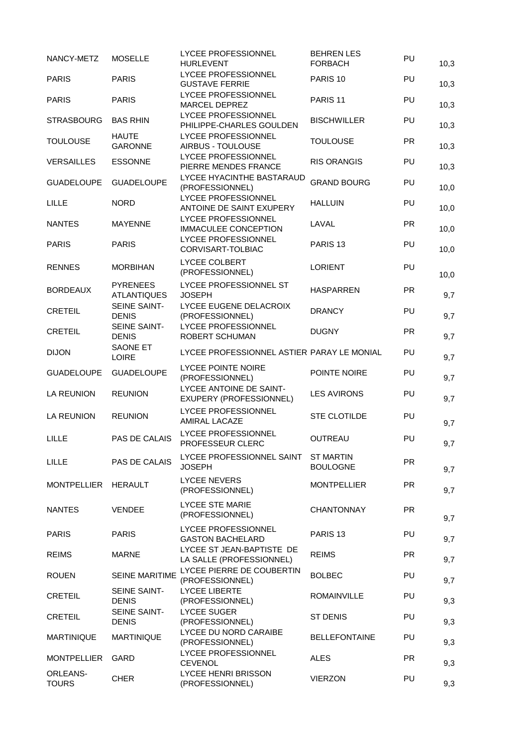| NANCY-METZ               | <b>MOSELLE</b>                        | LYCEE PROFESSIONNEL<br><b>HURLEVENT</b>               | <b>BEHREN LES</b><br><b>FORBACH</b> | PU        | 10,3 |
|--------------------------|---------------------------------------|-------------------------------------------------------|-------------------------------------|-----------|------|
| <b>PARIS</b>             | <b>PARIS</b>                          | LYCEE PROFESSIONNEL<br><b>GUSTAVE FERRIE</b>          | PARIS <sub>10</sub>                 | PU        | 10,3 |
| <b>PARIS</b>             | <b>PARIS</b>                          | <b>LYCEE PROFESSIONNEL</b><br>MARCEL DEPREZ           | PARIS <sub>11</sub>                 | PU        | 10,3 |
| <b>STRASBOURG</b>        | <b>BAS RHIN</b>                       | LYCEE PROFESSIONNEL<br>PHILIPPE-CHARLES GOULDEN       | <b>BISCHWILLER</b>                  | PU        | 10,3 |
| <b>TOULOUSE</b>          | <b>HAUTE</b><br><b>GARONNE</b>        | LYCEE PROFESSIONNEL<br>AIRBUS - TOULOUSE              | <b>TOULOUSE</b>                     | <b>PR</b> | 10,3 |
| <b>VERSAILLES</b>        | <b>ESSONNE</b>                        | <b>LYCEE PROFESSIONNEL</b><br>PIERRE MENDES FRANCE    | <b>RIS ORANGIS</b>                  | PU        | 10,3 |
| <b>GUADELOUPE</b>        | <b>GUADELOUPE</b>                     | LYCEE HYACINTHE BASTARAUD<br>(PROFESSIONNEL)          | <b>GRAND BOURG</b>                  | PU        | 10,0 |
| LILLE                    | <b>NORD</b>                           | LYCEE PROFESSIONNEL<br>ANTOINE DE SAINT EXUPERY       | <b>HALLUIN</b>                      | PU        | 10,0 |
| <b>NANTES</b>            | <b>MAYENNE</b>                        | LYCEE PROFESSIONNEL<br><b>IMMACULEE CONCEPTION</b>    | LAVAL                               | <b>PR</b> | 10,0 |
| <b>PARIS</b>             | <b>PARIS</b>                          | LYCEE PROFESSIONNEL<br>CORVISART-TOLBIAC              | PARIS <sub>13</sub>                 | PU        | 10,0 |
| <b>RENNES</b>            | <b>MORBIHAN</b>                       | LYCEE COLBERT<br>(PROFESSIONNEL)                      | <b>LORIENT</b>                      | PU        | 10,0 |
| <b>BORDEAUX</b>          | <b>PYRENEES</b><br><b>ATLANTIQUES</b> | LYCEE PROFESSIONNEL ST<br><b>JOSEPH</b>               | <b>HASPARREN</b>                    | <b>PR</b> | 9,7  |
| <b>CRETEIL</b>           | SEINE SAINT-<br><b>DENIS</b>          | LYCEE EUGENE DELACROIX<br>(PROFESSIONNEL)             | <b>DRANCY</b>                       | PU        | 9,7  |
| <b>CRETEIL</b>           | SEINE SAINT-<br><b>DENIS</b>          | <b>LYCEE PROFESSIONNEL</b><br>ROBERT SCHUMAN          | <b>DUGNY</b>                        | <b>PR</b> | 9,7  |
| <b>DIJON</b>             | <b>SAONE ET</b><br><b>LOIRE</b>       | LYCEE PROFESSIONNEL ASTIER PARAY LE MONIAL            |                                     | PU        | 9,7  |
| <b>GUADELOUPE</b>        | <b>GUADELOUPE</b>                     | LYCEE POINTE NOIRE<br>(PROFESSIONNEL)                 | POINTE NOIRE                        | PU        | 9,7  |
| LA REUNION               | <b>REUNION</b>                        | LYCEE ANTOINE DE SAINT-<br>EXUPERY (PROFESSIONNEL)    | <b>LES AVIRONS</b>                  | PU        | 9,7  |
| <b>LA REUNION</b>        | <b>REUNION</b>                        | <b>LYCEE PROFESSIONNEL</b><br>AMIRAL LACAZE           | STE CLOTILDE                        | PU        | 9,7  |
| LILLE                    | PAS DE CALAIS                         | <b>LYCEE PROFESSIONNEL</b><br>PROFESSEUR CLERC        | OUTREAU                             | PU        | 9,7  |
| <b>LILLE</b>             | PAS DE CALAIS                         | LYCEE PROFESSIONNEL SAINT<br><b>JOSEPH</b>            | <b>ST MARTIN</b><br><b>BOULOGNE</b> | <b>PR</b> | 9,7  |
| <b>MONTPELLIER</b>       | <b>HERAULT</b>                        | <b>LYCEE NEVERS</b><br>(PROFESSIONNEL)                | <b>MONTPELLIER</b>                  | <b>PR</b> | 9,7  |
| <b>NANTES</b>            | <b>VENDEE</b>                         | <b>LYCEE STE MARIE</b><br>(PROFESSIONNEL)             | <b>CHANTONNAY</b>                   | <b>PR</b> | 9,7  |
| <b>PARIS</b>             | <b>PARIS</b>                          | LYCEE PROFESSIONNEL<br><b>GASTON BACHELARD</b>        | PARIS <sub>13</sub>                 | PU        | 9,7  |
| <b>REIMS</b>             | <b>MARNE</b>                          | LYCEE ST JEAN-BAPTISTE DE<br>LA SALLE (PROFESSIONNEL) | <b>REIMS</b>                        | <b>PR</b> | 9,7  |
| <b>ROUEN</b>             | <b>SEINE MARITIME</b>                 | LYCEE PIERRE DE COUBERTIN<br>(PROFESSIONNEL)          | <b>BOLBEC</b>                       | PU        | 9,7  |
| <b>CRETEIL</b>           | <b>SEINE SAINT-</b><br><b>DENIS</b>   | <b>LYCEE LIBERTE</b><br>(PROFESSIONNEL)               | <b>ROMAINVILLE</b>                  | PU        | 9,3  |
| <b>CRETEIL</b>           | SEINE SAINT-<br><b>DENIS</b>          | <b>LYCEE SUGER</b><br>(PROFESSIONNEL)                 | <b>ST DENIS</b>                     | PU        | 9,3  |
| <b>MARTINIQUE</b>        | <b>MARTINIQUE</b>                     | LYCEE DU NORD CARAIBE<br>(PROFESSIONNEL)              | <b>BELLEFONTAINE</b>                | PU        | 9,3  |
| <b>MONTPELLIER</b>       | GARD                                  | LYCEE PROFESSIONNEL<br><b>CEVENOL</b>                 | <b>ALES</b>                         | <b>PR</b> | 9,3  |
| ORLEANS-<br><b>TOURS</b> | <b>CHER</b>                           | <b>LYCEE HENRI BRISSON</b><br>(PROFESSIONNEL)         | <b>VIERZON</b>                      | PU        | 9,3  |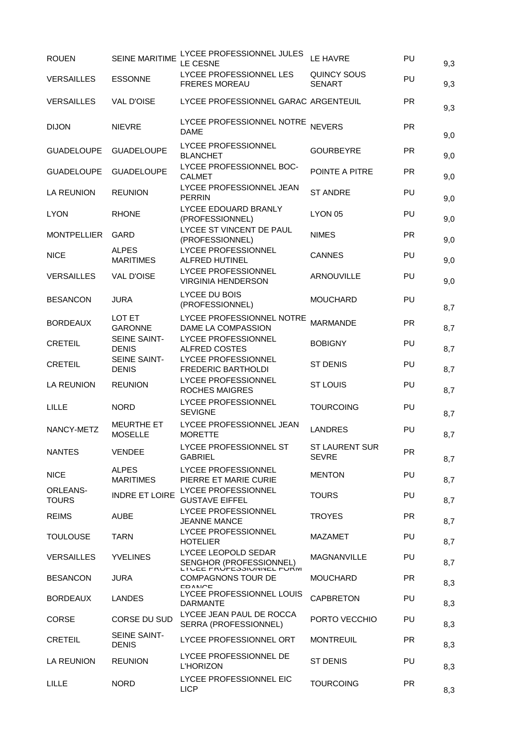| PU<br><b>PR</b><br><b>PR</b><br><b>PR</b><br><b>PR</b><br>PU<br>PU<br><b>PR</b><br>PU<br>PU | 9,3<br>9,3<br>9,3<br>9,0<br>9,0<br>9,0<br>9,0<br>9,0<br>9,0<br>9,0 |
|---------------------------------------------------------------------------------------------|--------------------------------------------------------------------|
|                                                                                             |                                                                    |
|                                                                                             |                                                                    |
|                                                                                             |                                                                    |
|                                                                                             |                                                                    |
|                                                                                             |                                                                    |
|                                                                                             |                                                                    |
|                                                                                             |                                                                    |
|                                                                                             |                                                                    |
|                                                                                             |                                                                    |
|                                                                                             | 9,0                                                                |
| PU                                                                                          | 8,7                                                                |
| <b>PR</b>                                                                                   | 8,7                                                                |
| PU                                                                                          | 8,7                                                                |
| PU                                                                                          | 8,7                                                                |
| PU                                                                                          | 8,7                                                                |
| PU                                                                                          | 8,7                                                                |
| PU                                                                                          | 8,7                                                                |
| PR.                                                                                         | 8,7                                                                |
| PU                                                                                          | 8,7                                                                |
| PU                                                                                          | 8,7                                                                |
| <b>PR</b>                                                                                   | 8,7                                                                |
| PU                                                                                          | 8,7                                                                |
| PU                                                                                          | 8,7                                                                |
| <b>PR</b>                                                                                   | 8,3                                                                |
|                                                                                             | 8,3                                                                |
| PU                                                                                          |                                                                    |
| PU                                                                                          | 8,3                                                                |
| <b>PR</b>                                                                                   | 8,3                                                                |
| PU                                                                                          | 8,3                                                                |
|                                                                                             |                                                                    |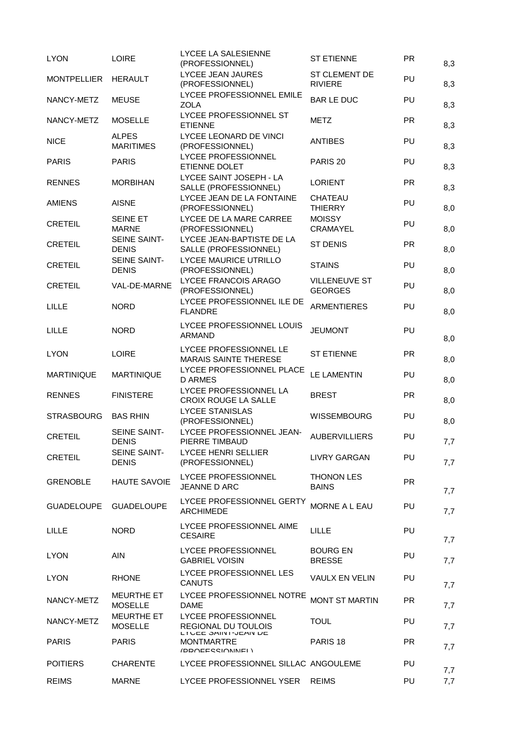| <b>LYON</b>        | <b>LOIRE</b>                        | LYCEE LA SALESIENNE<br>(PROFESSIONNEL)                       | <b>ST ETIENNE</b>                      | <b>PR</b> | 8,3 |
|--------------------|-------------------------------------|--------------------------------------------------------------|----------------------------------------|-----------|-----|
| <b>MONTPELLIER</b> | <b>HERAULT</b>                      | <b>LYCEE JEAN JAURES</b><br>(PROFESSIONNEL)                  | <b>ST CLEMENT DE</b><br><b>RIVIERE</b> | PU        | 8,3 |
| NANCY-METZ         | <b>MEUSE</b>                        | LYCEE PROFESSIONNEL EMILE<br><b>ZOLA</b>                     | <b>BAR LE DUC</b>                      | PU        | 8,3 |
| NANCY-METZ         | <b>MOSELLE</b>                      | LYCEE PROFESSIONNEL ST<br><b>ETIENNE</b>                     | <b>METZ</b>                            | <b>PR</b> | 8,3 |
| <b>NICE</b>        | <b>ALPES</b><br><b>MARITIMES</b>    | LYCEE LEONARD DE VINCI<br>(PROFESSIONNEL)                    | <b>ANTIBES</b>                         | PU        | 8,3 |
| <b>PARIS</b>       | <b>PARIS</b>                        | <b>LYCEE PROFESSIONNEL</b><br>ETIENNE DOLET                  | PARIS <sub>20</sub>                    | PU        | 8,3 |
| <b>RENNES</b>      | <b>MORBIHAN</b>                     | LYCEE SAINT JOSEPH - LA<br>SALLE (PROFESSIONNEL)             | <b>LORIENT</b>                         | <b>PR</b> | 8,3 |
| <b>AMIENS</b>      | <b>AISNE</b>                        | LYCEE JEAN DE LA FONTAINE<br>(PROFESSIONNEL)                 | CHATEAU<br><b>THIERRY</b>              | PU        | 8,0 |
| <b>CRETEIL</b>     | SEINE ET<br><b>MARNE</b>            | LYCEE DE LA MARE CARREE<br>(PROFESSIONNEL)                   | <b>MOISSY</b><br>CRAMAYEL              | PU        | 8,0 |
| <b>CRETEIL</b>     | <b>SEINE SAINT-</b><br><b>DENIS</b> | LYCEE JEAN-BAPTISTE DE LA<br>SALLE (PROFESSIONNEL)           | <b>ST DENIS</b>                        | <b>PR</b> | 8,0 |
| <b>CRETEIL</b>     | <b>SEINE SAINT-</b><br><b>DENIS</b> | <b>LYCEE MAURICE UTRILLO</b><br>(PROFESSIONNEL)              | <b>STAINS</b>                          | PU        | 8,0 |
| <b>CRETEIL</b>     | VAL-DE-MARNE                        | LYCEE FRANCOIS ARAGO<br>(PROFESSIONNEL)                      | <b>VILLENEUVE ST</b><br><b>GEORGES</b> | PU        | 8,0 |
| LILLE              | <b>NORD</b>                         | LYCEE PROFESSIONNEL ILE DE<br><b>FLANDRE</b>                 | <b>ARMENTIERES</b>                     | PU        | 8,0 |
| LILLE              | <b>NORD</b>                         | LYCEE PROFESSIONNEL LOUIS<br><b>ARMAND</b>                   | <b>JEUMONT</b>                         | PU        | 8,0 |
| <b>LYON</b>        | <b>LOIRE</b>                        | LYCEE PROFESSIONNEL LE<br><b>MARAIS SAINTE THERESE</b>       | <b>ST ETIENNE</b>                      | <b>PR</b> | 8,0 |
| <b>MARTINIQUE</b>  | <b>MARTINIQUE</b>                   | LYCEE PROFESSIONNEL PLACE<br><b>D ARMES</b>                  | <b>LE LAMENTIN</b>                     | PU        | 8,0 |
| <b>RENNES</b>      | <b>FINISTERE</b>                    | LYCEE PROFESSIONNEL LA<br>CROIX ROUGE LA SALLE               | <b>BREST</b>                           | <b>PR</b> | 8,0 |
| <b>STRASBOURG</b>  | <b>BAS RHIN</b>                     | <b>LYCEE STANISLAS</b><br>(PROFESSIONNEL)                    | <b>WISSEMBOURG</b>                     | PU        | 8,0 |
| <b>CRETEIL</b>     | <b>SEINE SAINT-</b><br><b>DENIS</b> | LYCEE PROFESSIONNEL JEAN-<br>PIERRE TIMBAUD                  | <b>AUBERVILLIERS</b>                   | PU        | 7,7 |
| <b>CRETEIL</b>     | <b>SEINE SAINT-</b><br><b>DENIS</b> | LYCEE HENRI SELLIER<br>(PROFESSIONNEL)                       | <b>LIVRY GARGAN</b>                    | PU        | 7,7 |
| <b>GRENOBLE</b>    | <b>HAUTE SAVOIE</b>                 | <b>LYCEE PROFESSIONNEL</b><br>JEANNE D ARC                   | <b>THONON LES</b><br><b>BAINS</b>      | <b>PR</b> | 7,7 |
| <b>GUADELOUPE</b>  | <b>GUADELOUPE</b>                   | LYCEE PROFESSIONNEL GERTY<br><b>ARCHIMEDE</b>                | <b>MORNE A L EAU</b>                   | PU        | 7,7 |
| LILLE              | <b>NORD</b>                         | LYCEE PROFESSIONNEL AIME<br><b>CESAIRE</b>                   | <b>LILLE</b>                           | PU        | 7,7 |
| <b>LYON</b>        | <b>AIN</b>                          | LYCEE PROFESSIONNEL<br><b>GABRIEL VOISIN</b>                 | <b>BOURG EN</b><br><b>BRESSE</b>       | PU        | 7,7 |
| <b>LYON</b>        | <b>RHONE</b>                        | LYCEE PROFESSIONNEL LES<br><b>CANUTS</b>                     | VAULX EN VELIN                         | PU        | 7,7 |
| NANCY-METZ         | <b>MEURTHE ET</b><br><b>MOSELLE</b> | LYCEE PROFESSIONNEL NOTRE<br>DAME                            | <b>MONT ST MARTIN</b>                  | <b>PR</b> | 7,7 |
| NANCY-METZ         | <b>MEURTHE ET</b><br><b>MOSELLE</b> | LYCEE PROFESSIONNEL<br>REGIONAL DU TOULOIS                   | <b>TOUL</b>                            | PU        | 7,7 |
| <b>PARIS</b>       | <b>PARIS</b>                        | LI ULE JAINI-JEAN DE<br>MONTMARTRE<br><b>IDDAEECCIAMMEL\</b> | PARIS <sub>18</sub>                    | <b>PR</b> | 7,7 |
| <b>POITIERS</b>    | <b>CHARENTE</b>                     | LYCEE PROFESSIONNEL SILLAC ANGOULEME                         |                                        | PU        | 7,7 |
| <b>REIMS</b>       | <b>MARNE</b>                        | LYCEE PROFESSIONNEL YSER                                     | <b>REIMS</b>                           | PU        | 7,7 |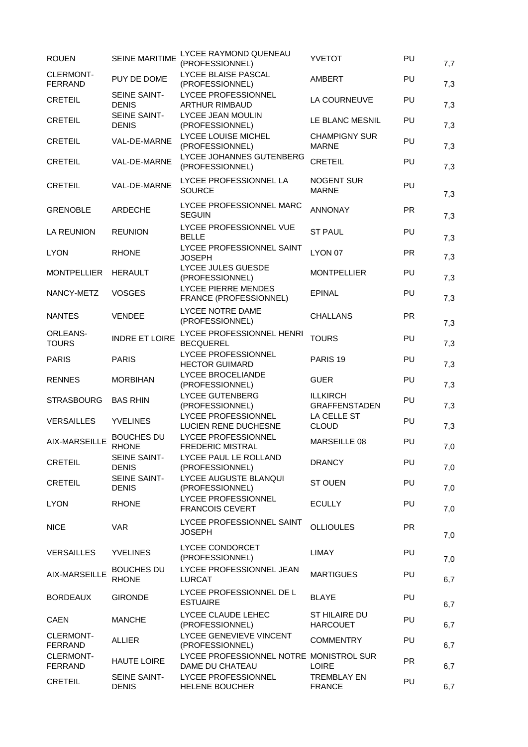| <b>ROUEN</b>                       | <b>SEINE MARITIME</b>               | LYCEE RAYMOND QUENEAU<br>(PROFESSIONNEL)                   | <b>YVETOT</b>                           | PU        | 7,7 |
|------------------------------------|-------------------------------------|------------------------------------------------------------|-----------------------------------------|-----------|-----|
| <b>CLERMONT-</b><br><b>FERRAND</b> | PUY DE DOME                         | LYCEE BLAISE PASCAL<br>(PROFESSIONNEL)                     | <b>AMBERT</b>                           | PU        | 7,3 |
| <b>CRETEIL</b>                     | SEINE SAINT-<br><b>DENIS</b>        | LYCEE PROFESSIONNEL<br><b>ARTHUR RIMBAUD</b>               | LA COURNEUVE                            | PU        | 7,3 |
| <b>CRETEIL</b>                     | <b>SEINE SAINT-</b><br><b>DENIS</b> | LYCEE JEAN MOULIN<br>(PROFESSIONNEL)                       | LE BLANC MESNIL                         | PU        | 7,3 |
| <b>CRETEIL</b>                     | VAL-DE-MARNE                        | LYCEE LOUISE MICHEL<br>(PROFESSIONNEL)                     | <b>CHAMPIGNY SUR</b><br><b>MARNE</b>    | PU        | 7,3 |
| <b>CRETEIL</b>                     | VAL-DE-MARNE                        | LYCEE JOHANNES GUTENBERG<br>(PROFESSIONNEL)                | <b>CRETEIL</b>                          | PU        | 7,3 |
| <b>CRETEIL</b>                     | VAL-DE-MARNE                        | LYCEE PROFESSIONNEL LA<br><b>SOURCE</b>                    | <b>NOGENT SUR</b><br><b>MARNE</b>       | PU        | 7,3 |
| <b>GRENOBLE</b>                    | <b>ARDECHE</b>                      | LYCEE PROFESSIONNEL MARC<br><b>SEGUIN</b>                  | <b>ANNONAY</b>                          | <b>PR</b> | 7,3 |
| <b>LA REUNION</b>                  | <b>REUNION</b>                      | LYCEE PROFESSIONNEL VUE<br><b>BELLE</b>                    | <b>ST PAUL</b>                          | PU        | 7,3 |
| <b>LYON</b>                        | <b>RHONE</b>                        | LYCEE PROFESSIONNEL SAINT<br><b>JOSEPH</b>                 | LYON 07                                 | <b>PR</b> | 7,3 |
| <b>MONTPELLIER</b>                 | <b>HERAULT</b>                      | LYCEE JULES GUESDE<br>(PROFESSIONNEL)                      | <b>MONTPELLIER</b>                      | PU        | 7,3 |
| NANCY-METZ                         | <b>VOSGES</b>                       | LYCEE PIERRE MENDES<br>FRANCE (PROFESSIONNEL)              | <b>EPINAL</b>                           | PU        | 7,3 |
| <b>NANTES</b>                      | <b>VENDEE</b>                       | LYCEE NOTRE DAME<br>(PROFESSIONNEL)                        | <b>CHALLANS</b>                         | <b>PR</b> | 7,3 |
| <b>ORLEANS-</b><br><b>TOURS</b>    | <b>INDRE ET LOIRE</b>               | LYCEE PROFESSIONNEL HENRI<br><b>BECQUEREL</b>              | <b>TOURS</b>                            | PU        | 7,3 |
| <b>PARIS</b>                       | <b>PARIS</b>                        | LYCEE PROFESSIONNEL<br><b>HECTOR GUIMARD</b>               | PARIS <sub>19</sub>                     | PU        | 7,3 |
| <b>RENNES</b>                      | <b>MORBIHAN</b>                     | <b>LYCEE BROCELIANDE</b><br>(PROFESSIONNEL)                | <b>GUER</b>                             | PU        | 7,3 |
| <b>STRASBOURG</b>                  | <b>BAS RHIN</b>                     | <b>LYCEE GUTENBERG</b><br>(PROFESSIONNEL)                  | <b>ILLKIRCH</b><br><b>GRAFFENSTADEN</b> | PU        | 7,3 |
| <b>VERSAILLES</b>                  | <b>YVELINES</b>                     | LYCEE PROFESSIONNEL<br>LUCIEN RENE DUCHESNE                | LA CELLE ST<br><b>CLOUD</b>             | PU        | 7,3 |
| AIX-MARSEILLE                      | <b>BOUCHES DU</b><br><b>RHONE</b>   | LYCEE PROFESSIONNEL<br>FREDERIC MISTRAL                    | MARSEILLE 08                            | PU        | 7,0 |
| <b>CRETEIL</b>                     | SEINE SAINT-<br><b>DENIS</b>        | LYCEE PAUL LE ROLLAND<br>(PROFESSIONNEL)                   | <b>DRANCY</b>                           | PU        | 7,0 |
| <b>CRETEIL</b>                     | SEINE SAINT-<br><b>DENIS</b>        | LYCEE AUGUSTE BLANQUI<br>(PROFESSIONNEL)                   | <b>ST OUEN</b>                          | PU        | 7,0 |
| <b>LYON</b>                        | <b>RHONE</b>                        | LYCEE PROFESSIONNEL<br><b>FRANCOIS CEVERT</b>              | <b>ECULLY</b>                           | PU        | 7,0 |
| <b>NICE</b>                        | <b>VAR</b>                          | LYCEE PROFESSIONNEL SAINT<br><b>JOSEPH</b>                 | <b>OLLIOULES</b>                        | <b>PR</b> | 7,0 |
| <b>VERSAILLES</b>                  | <b>YVELINES</b>                     | LYCEE CONDORCET<br>(PROFESSIONNEL)                         | LIMAY                                   | PU        | 7,0 |
| AIX-MARSEILLE                      | <b>BOUCHES DU</b><br><b>RHONE</b>   | LYCEE PROFESSIONNEL JEAN<br>LURCAT                         | <b>MARTIGUES</b>                        | PU        | 6,7 |
| <b>BORDEAUX</b>                    | <b>GIRONDE</b>                      | LYCEE PROFESSIONNEL DE L<br><b>ESTUAIRE</b>                | <b>BLAYE</b>                            | PU        | 6,7 |
| <b>CAEN</b>                        | <b>MANCHE</b>                       | LYCEE CLAUDE LEHEC<br>(PROFESSIONNEL)                      | ST HILAIRE DU<br><b>HARCOUET</b>        | PU        | 6,7 |
| <b>CLERMONT-</b><br><b>FERRAND</b> | <b>ALLIER</b>                       | LYCEE GENEVIEVE VINCENT<br>(PROFESSIONNEL)                 | <b>COMMENTRY</b>                        | PU        | 6,7 |
| <b>CLERMONT-</b><br><b>FERRAND</b> | <b>HAUTE LOIRE</b>                  | LYCEE PROFESSIONNEL NOTRE MONISTROL SUR<br>DAME DU CHATEAU | <b>LOIRE</b>                            | <b>PR</b> | 6,7 |
| <b>CRETEIL</b>                     | SEINE SAINT-<br><b>DENIS</b>        | LYCEE PROFESSIONNEL<br>HELENE BOUCHER                      | <b>TREMBLAY EN</b><br><b>FRANCE</b>     | PU        | 6,7 |